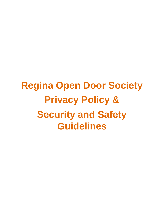**Regina Open Door Society Privacy Policy & Security and Safety Guidelines**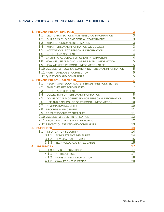## **PRIVACY POLICY & SECURITY AND SAFETY GUIDELINES**

|    | 1. PRIVACY POLICY PRINCIPLES                           |                                                                       |
|----|--------------------------------------------------------|-----------------------------------------------------------------------|
|    | 1.1 LEGAL PROTECTIONS FOR PERSONAL INFORMATION         | $\frac{3}{3}$ $\frac{3}{3}$ $\frac{3}{4}$ $\frac{4}{4}$               |
|    | 1.2<br>OUR PRIVACY & CONFIDENTIAL COMMITMENT           |                                                                       |
|    | 1.3 WHAT IS PERSONAL INFORMATION                       |                                                                       |
|    | 1.4<br>WHAT PERSONAL INFORMATION WE COLLECT            |                                                                       |
|    | 1.5<br>HOW WE COLLECT PERSONAL INFORMATION             |                                                                       |
|    | 1.6 NOTICE AND CONSENT                                 |                                                                       |
|    | 1.7 ENSURING ACCURACY OF CLIENT INFORMATION            |                                                                       |
|    | 1.8 HOW WE USE AND DISCLOSE PERSONAL INFORMATION       |                                                                       |
|    | 1.9 HOW WE KEEP PERSONAL INFORMATION SAFE              |                                                                       |
|    | 1.10 ACCESS TO RECORDS CONTAINING PERSONAL INFORMATION |                                                                       |
|    | 1.11 RIGHT TO REQUEST CORRECTION                       |                                                                       |
|    | 1.12 QUESTIONS AND COMPLAINTS                          | $\frac{4}{5}$ $\frac{5}{5}$ $\frac{5}{5}$ $\frac{5}{7}$ $\frac{7}{7}$ |
|    | 2. PRIVACY POLICY STATEMENTS                           |                                                                       |
|    | REGINA OPEN DOOR SOCIETY (RODS) RESPONSIBILTIES<br>2.1 | $\overline{7}$                                                        |
|    | 2.2 EMPLOYEE RESPONSIBILITIES                          | $\overline{\mathbf{7}}$                                               |
|    | 2.3 NOTICE AND CONSENT                                 | $\frac{7}{8}$                                                         |
|    | 2.4 COLLECTION OF PERSONAL INFORMATION                 |                                                                       |
|    | 2.5 ACCURACY AND CORRECTION OF PERSONAL INFORMATION    | $\overline{9}$                                                        |
|    | 2.6 USE AND DISCLOSURE OF PERSONAL INFORMATION         | 10                                                                    |
|    | 2.7<br><b>INFORMATION SECURITY</b>                     | 10                                                                    |
|    | 2.8 RECORDS MANAGEMENT                                 | 11                                                                    |
|    | 2.9 PRIVACY/SECURITY BREACHES                          | 11                                                                    |
|    | 2.10 ACCESS TO CLIENT INFORMATION                      | 12                                                                    |
|    | 2.11 INFORMING CLIENTS AND THE PUBLIC                  | 12                                                                    |
|    | 2.12 PRIVACY QUESTIONS AND COMPLAINTS                  | 13                                                                    |
| 3. | <b>GUIDELINES</b>                                      | 14                                                                    |
|    | 3.1 INFORMATION SECURITY                               | 14                                                                    |
|    | 3.1.1 ADMINISTRAIVE MEASURES                           | 14                                                                    |
|    | 3.1.2 PHYSICAL SAFEGUARDS                              | 15                                                                    |
|    | 3.1.3 TECHNOLOGICAL SAFEGUARDS                         | 15                                                                    |
|    | <b>APPENDICES</b>                                      | 17                                                                    |
|    | 4.1 SECURITY BEST PRACTICES                            | 17                                                                    |
|    | 4.1.1 AT THE OFFICE                                    | 17                                                                    |
|    | 4.1.2 TRANSMITTING INFORMATION                         | 18                                                                    |
|    | 4.1.3 AWAY FROM THE OFFICE                             | 20                                                                    |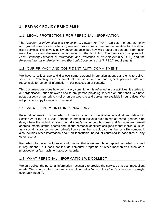## **1 PRIVACY POLICY PRINCIPLES**

## 1.1 LEGAL PROTECTIONS FOR PERSONAL INFORMATION

The *Freedom of Information and Protection of Privacy Act* (FOIP Act) sets the legal authority and ground rules for our collection, use and disclosure of personal information for the direct client services. This privacy policy document describes how we protect the personal information we collect, use and disclose in accordance with the FOIP Act. This policy also complies with *Local Authority Freedom of Information and Protection of Privacy Act* (LA FOIP) and the *Personal Information Protection and Electronic Documents Act* (PIPEDA) requirements.

## 1.2 OUR PRIVACY AND CONFIDENTIALITY COMMITMENT

We have to collect, use and disclose some personal information about our clients to deliver services. Protecting their personal information is one of our highest priorities. We are responsible for personal information in our possession or custody.

This document describes how our privacy commitment is reflected in our activities. It applies to our organization, our employees and to any person providing services on our behalf. We have posted a copy of our privacy policy on our web site and copies are available in our offices. We will provide a copy to anyone on request.

## 1.3 WHAT IS PERSONAL INFORMATION?

Personal information is recorded information about an identifiable individual, as defined in Section 24 of the FOIP Act. Personal information includes such things as name, gender, birth date, where the individual lives, the individual's home, cell, business and fax numbers, e-mail address, marital status, photos and unique personal identifiers assigned to that individual, such as a social insurance number, driver's license number, credit card number or a file number. It also includes other information about an identifiable individual contained in case files or any other records.

Recorded information includes any information that is written, photographed, recorded or stored in any manner, but does not include computer programs or other mechanisms such as a photocopier or fax machine that copy records.

## 1.4 WHAT PERSONAL INFORMATION WE COLLECT

We only collect the personal information necessary to provide the services that best meet client needs. We do not collect personal information that is "nice to know" or "just in case we might eventually need it".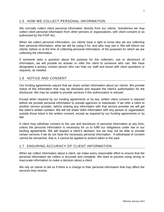## 1.5 HOW WE COLLECT PERSONAL INFORMATION

We normally collect client personal information directly from our clients. Sometimes we may collect client personal information from other persons or organizations, with client consent or as authorized by the FOIP Act.

When we collect personal information, our clients have a right to know why we are collecting their personal information, what we will be using it for, and who may see it. We will inform our clients, before or at the time of collecting personal information, of the purposes for which we are collecting the information.

If someone asks a question about the purpose for the collection, use or disclosure of information, we will provide an answer or refer the client to someone who can. We have designated a privacy contact person who can help our staff and assist with client questions or requests, as needed.

## 1.6 NOTICE AND CONSENT

Our funding agreements require that we share certain information about our clients. We provide notice of the information that may be disclosed and request the client's authorization for the disclosure. We may be unable to provide services if this authorization is refused.

Except when required by our funding agreements or by law, written client consent is required before we provide personal information to outside agencies or individuals. If we refer a client to another service provider, before sharing any information with that service provider we will get the client's written consent. We will not share client information with any person or organization outside those listed in the written consent, except as required by our funding agreements or by law.

A client may withdraw consent to the use and disclosure of personal information at any time, unless the personal information is necessary for us to fulfill our obligations under law or our funding agreements. We will respect a client's decision, but we may not be able to provide certain services if we do not have the necessary personal information. A withdrawal of consent cannot be retroactive; that is, it cannot be applied to actions taken in the past.

## 1.7 ENSURING ACCURACY OF CLIENT INFORMATION

When we collect information about a client, we make every reasonable effort to ensure that the personal information we collect is accurate and complete. We want to prevent using wrong or inaccurate information to make a decision about a client.

We rely on clients to tell us if there is a change to their personal information that may affect the services they receive.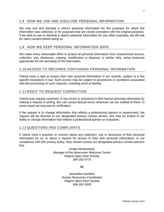## 1.8 HOW WE USE AND DISCLOSE PERSONAL INFORMATION

We only use and disclose a client's personal information for the purposes for which the information was collected, or for purposes that are clearly consistent with the original purposes. If we wish to use or disclose a client's personal information for any other purposes, we will ask for client consent before doing so.

## 1.9 HOW WE KEEP PERSONAL INFORMATION SAFE

We make every reasonable effort to protect all personal information from unauthorized access, collection, use, disclosure, copying, modification or disposal, or similar risks, using measures appropriate for the sensitivity of the information.

## 1.10 ACCESS TO RECORDS CONTAINING PERSONAL INFORMATION

Clients have a right to access their own personal information in our records, subject to a few specific exceptions in law. Such access may be subject to procedures or conditions associated with the processing of such requests, including proof of identity.

## 1.11 RIGHT TO REQUEST CORRECTION

Clients may request correction of any errors or omissions in their factual personal information by making a request in writing. We can correct factual errors whenever we are notified of them. In some cases we may ask for verification.

If the request is to change information that reflects a professional opinion or assessment, the request will be directed to our designated privacy contact person. We may be limited in our ability to change information that reflects a professional opinion or evaluation.

### 1.12 QUESTIONS AND COMPLAINTS

If clients have a question or concern about any collection, use or disclosure of their personal information by us, or about a request for access to their own personal information, or our compliance with this privacy policy, they should contact our designated privacy contact persons first.

> *Gratta Nimbeshaho Manager of the Newcomer Welcome Centre Regina Open Door Society 306-352-5775*

> > *Or*

*Samantha Gardiner Human Resources Coordinator Regina Open Door Society 306-352-3500*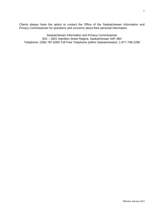Clients always have the option to contact the Office of the Saskatchewan Information and Privacy Commissioner for questions and concerns about their personal information.

Saskatchewan Information and Privacy Commissioner 503 – 1801 Hamilton Street Regina, Saskatchewan S4P 4B4 Telephone: (306) 787-8350 Toll Free Telephone (within Saskatchewan): 1-877-748-2298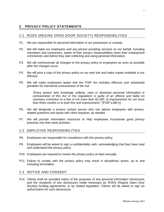## **2 PRIVACY POLICY STATEMENTS**

## 2.1 RODS (REGINA OPEN DOOR SOCIETY) RESPONSIBILITIES

- P1. We are responsible for personal information in our possession or custody.
- P2. We will make our employees and any person providing services on our behalf, including volunteers and contractors, aware of their privacy responsibilities when their employment commences and before they start collecting and using personal information.
- P3. We will communicate all changes to the privacy policy to employees as soon as possible after the changes occur.
- P4. We will post a copy of the privacy policy on our web site and make copies available in our office(s).
- P5. We will make employees aware that the FOIP Act includes offences and substantial penalties for intentional contravention of the Act:

*"Every person who knowingly collects, uses or discloses personal information in contravention of this Act or the regulations is guilty of an offence and liable on summary conviction to a fine of not more than \$1,000, to imprisonment for not more than three months or to both fine and imprisonment*." [FOIP s.68(1)]

- P6. We will designate a privacy contact person who can advise employees with privacyrelated questions and assist with client requests, as needed.
- P7. We will provide information resources to help employees incorporate good privacy practices into their work activities.

### 2.2 EMPLOYEE RESPONSIBILITIES

- P8. Employees are responsible for compliance with this privacy policy.
- P9. Employees will be asked to sign a confidentiality oath, acknowledging that they have read and understand the privacy policy.
- P10. Employees are required to review the privacy policy at least annually.
- P11. Failure to comply with the privacy policy may result in disciplinary action, up to and including termination.

## 2.3 NOTICE AND CONSENT

P12. Clients shall be provided notice of the purposes of any personal information disclosures and the recipients of any disclosures made necessary by RODS (Regina Open Door Society) funding agreements, or by related legislation. Clients will be asked to sign an authorization for such disclosures.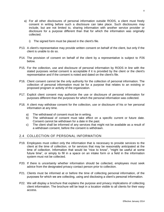- a) For all other disclosures of personal information outside RODS, a client must freely consent in writing before such a disclosure can take place. Such disclosures may include, but are not limited to, sharing information with another service provider or disclosure for a purpose different than that for which the information was originally collected.
	- i) The signed form must be placed in the client's file.
- P13. A client's representative may provide written consent on behalf of the client, but only if the client is unable to do so.
- P14. The provision of consent on behalf of the client by a representative is subject to [P26](#page-8-0) below.
- P15. For the collection, use and disclosure of personal information by RODS in line with the stated purposes verbal consent is acceptable if it is provided by the client or the client's representative and if the consent is noted and dated on the client's file.
- P16. Client consent cannot be the only authority for the collection of personal information. The collection of personal information must be for a purpose that relates to an existing or proposed program or activity of the organization.
- P17. Explicit client consent may authorize the use or disclosure of personal information for purposes different than the purposes for which the personal information was collected.
- P18. A client may withdraw consent for the collection, use or disclosure of his or her personal information at any time.
	- a) The withdrawal of consent must be in writing.
	- b) The withdrawal of consent must take effect on a specific current or future date. Consent cannot be withdrawn for a date in the past.
	- c) The client shall be informed of any services that might not be available as a result of a withdrawn consent, before the consent is withdrawn.

## 2.4 COLLECTION OF PERSONAL INFORMATION

- P19. Employees must collect only the information that is necessary to provide services to the client at the time of collection, or for services that may be reasonably anticipated at the time of collection. Information that would be "nice to know", "might be useful at some future time", or simply to fill in a space on an intake form or a field in the information system must not be collected.
- P20. If there is uncertainty whether information should be collected, employees must seek advice from the designated privacy contact person prior to collection.
- P21. Clients must be informed at or before the time of collecting personal information, of the purposes for which we are collecting, using and disclosing a client's personal information.
- P22. We will display a brochure that explains the purpose and privacy implications of collecting client information. The brochure will be kept in a location visible to all clients for their easy access.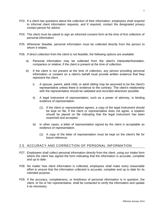- P23. If a client has questions about the collection of their information, employees shall respond to informal client information requests, and if required, contact the designated privacy contact person for advice.
- P24. The client must be asked to sign an informed consent form at the time of first collection of personal information.
- P25. Whenever feasible, personal information must be collected directly from the person to whom it relates.
- <span id="page-8-0"></span>P26. If direct collection from the client is not feasible, the following options are available:
	- a) Personal information may be collected from the client's interpreter/translator, companion or relative, if the client is present at the time of collection.
	- b) If the client is not present at the time of collection, any person providing personal information or consent on a client's behalf must provide written evidence that they represent the client.
		- i) A spouse, parent, adult child, or adult sibling may be assumed to be the client's representative unless there is evidence to the contrary. The client's relationship with the representative should be validated and recorded whenever possible.
		- ii) A legal instrument of representation, such as a power of attorney, is binding evidence of representation.
			- (1) If the client or representative agrees, a copy of the legal instrument should be kept on file. If the client or representative does not agree, a notation should be placed on file indicating that the legal instrument has been examined and accepted.
		- iii) In other cases, a letter of representation signed by the client is acceptable as evidence of representation.
			- (1) A copy of the letter of representation must be kept on the client's file for future reference.

## 2.5 ACCURACY AND CORRECTION OF PERSONAL INFORMATION

- P27. Employees shall collect personal information directly from the client, using our intake form where the client has signed the form indicating that the information is accurate, complete and up to date.
- P28. No matter how client information is collected, employees shall make every reasonable effort to ensure that the information collected is accurate, complete and up to date for its intended purpose.
- P29. If the accuracy, completeness, or timeliness of personal information is in question, the client, or his or her representative, shall be contacted to verify the information and update it as necessary.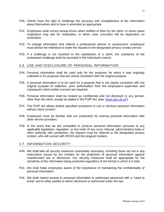- P30. Clients have the right to challenge the accuracy and completeness of the information about themselves and to have it amended as appropriate.
- P31. Employees shall correct factual errors when notified of them by the client. In some cases employees may ask for verification, in which case correction will be dependent on verification.
- P32. To change information that reflects a professional opinion or assessment, employees must advise the individual to make the request to the designated privacy contact person.
- P33. If a challenge is not resolved to the satisfaction of a client, the substance of the unresolved challenge shall be recorded in the individual's record.

### 2.6 USE AND DISCLOSURE OF PERSONAL INFORMATION

- P34. Personal information shall be used only for the purposes for which it was originally collected or for purposes that are clearly consistent with the original purpose.
- P35. If personal information is to be used for a purpose that is not clearly consistent with the original purpose of collection, prior authorization from the employee's supervisor and subsequent client written consent are required.
- P36. Personal information shall be treated as confidential and not disclosed to any person, other than the client, except as stated in the FOIP Act. [see ["www.oipc.sk.ca"](http://www.oipc.sk.ca/)]
- P37. The FOIP Act allows limited specified exceptions to use or disclose personal information without client consent.
- P38. Employees must be familiar with our protocol(s) for sharing personal information with other service providers.
- P39. In the event that we are compelled to produce personal information pursuant to any applicable legislation, regulation, or any order of any court, tribunal, administrative body or other authority with jurisdiction, the request must be referred to the designated privacy contact, who will consult with RODS and the program funders.

### 2.7 INFORMATION SECURITY

- P40. We shall take all security measures reasonably necessary, including those set out in any instructions issued by our funders for the protection of personal information against unauthorized use or disclosure. Our security measures shall be appropriate for the sensitivity of the information being protected regardless of the format in which it is held.
- P41. We shall make employees aware of the importance of maintaining the confidentiality of personal information.
- P42. We shall restrict access to personal information to authorized personnel with a "need to know" and to other parties to whom disclosure is authorized under the law.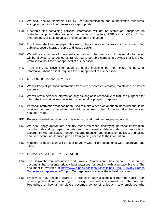- P43. We shall secure electronic files by user authentication and authorization measures, encryption, and/or other measures as appropriate.
- P44. Electronic files containing personal information will not be stored or transported on portable computing devices (such as laptop computers, USB sticks, CD's, DVD's, smartphones, or tablets) unless they have been encrypted.
- P45. Employees shall secure paper files using physical access controls such as locked filing cabinets, secure storage rooms and locked desks.
- P46. We will restrict access to personal information to the premises. No personal information will be allowed to be copied or transferred to portable computing devices that leave our premises without the prior approval of a supervisor.
- P47. Transmitting sensitive information by email, including but not limited to personal information about a client, requires the prior approval of a supervisor.

### 2.8 RECORDS MANAGEMENT

- P48. We will keep all personal information transferred, collected, created, maintained, or stored securely.
- P49. We will retain personal information only as long as is reasonable to fulfill the purposes for which the information was collected, or for legal or program purposes.
- P50. Personal information that has been used to make a decision about an individual should be retained long enough to allow the individual access to the information after the decision has been made.
- P51. Retention guidelines should include minimum and maximum retention periods.
- P52. We shall apply appropriate security measures when destroying personal information, including shredding paper records and permanently deleting electronic records in accordance with applicable Funders records retention and disposition policies; and taking care to prevent unauthorized parties from gaining access to the information.
- P53. A record of destruction will be kept to verify what client documents were destroyed and when.

### 2.9 PRIVACY/SECURITY BREACHES

- P54. The Saskatchewan Information and Privacy Commissioner has prepared a reference document that presents privacy best practices for dealing with a privacy breach. The document is available at [http://www.oipc.sk.ca/Resources/Helpful Tips -](http://www.oipc.sk.ca/Resources/Helpful%20Tips%20-%20Privacy%20Breach%20Guidelines%20-%20September%202010.pdf) Privacy Breach Guidelines - [September 2010.pdf.](http://www.oipc.sk.ca/Resources/Helpful%20Tips%20-%20Privacy%20Breach%20Guidelines%20-%20September%202010.pdf) Our organization follows these best practices.
- P55. Employees may become aware of a breach through a complaint from the public, from observing something occurring or through personal involvement with the incident. Regardless of how an employee becomes aware of a breach, any employee who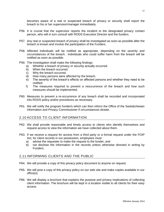becomes aware of a real or suspected breach of privacy or security shall report the breach to his or her supervisor/manager immediately.

- P56. It is crucial that the supervisor reports the incident to the designated privacy contact person, who will in turn consult with RODS Executive Director and the funders.
- P57. Any real or suspected breach of privacy shall be investigated as soon as possible after the breach is known and involve the participation of the Funders.
- P58. Affected individuals will be notified as appropriate, depending on the severity and circumstances of the breach. Individuals who could suffer harm from the breach will be notified as soon as possible.
- P59. The investigation shall make the following findings:
	- a) Whether a breach of privacy or security actually occurred.
	- b) When the breach occurred.
	- c) Why the breach occurred.
	- d) How many persons were affected by the breach.
	- e) The severity of the breach's effects on affected persons and whether they need to be notified.
	- f) The measures required to prevent a reoccurrence of the breach and how such measures should be implemented.
- P60. Measures to prevent a re-occurrence of any breach shall be recorded and incorporated into RODS policy and/or procedures as necessary.
- P61. We will notify the program funder/s which can then inform the Office of the Saskatchewan Information and Privacy Commissioner if circumstances dictate.

### 2.10 ACCESS TO CLIENT INFORMATION

- P62. We shall provide reasonable and timely access to clients who identify themselves and request access to view the information we have collected about them.
- P63. If we receive a request for access from a third party or a formal request under the FOIP Act, for client records in our possession, employees must:
	- a) advise the requester to make the request to the funder; and
	- b) not disclose the information in the records unless otherwise directed in writing by Funders.

### 2.11 INFORMING CLIENTS AND THE PUBLIC

- P64. We will provide a copy of this privacy policy document to anyone on request.
- P65. We will post a copy of this privacy policy on our web site and make copies available in our office(s).
- P66. We will display a brochure that explains the purpose and privacy implications of collecting client information. The brochure will be kept in a location visible to all clients for their easy access.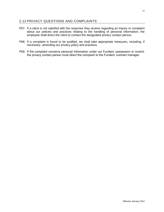## 2.12 PRIVACY QUESTIONS AND COMPLAINTS

- P67. If a client is not satisfied with the response they receive regarding an inquiry or complaint about our policies and practices relating to the handling of personal information, the employee shall direct the client to contact the designated privacy contact person.
- P68. If a complaint is found to be justified, we shall take appropriate measures, including, if necessary, amending our privacy policy and practices.
- P69. If the complaint concerns personal information under our Funders' possession or control, the privacy contact person must direct the complaint to the Funders' contract manager.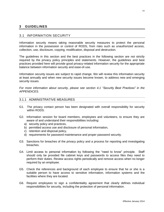## **3 GUIDELINES**

## 3.1 INFORMATION SECURITY

Information security means taking reasonable security measures to protect the personal information in the possession or control of RODS, from risks such as unauthorized access, collection, use, disclosure, copying, modification, disposal and destruction.

The guidelines in this section and the best practices in the following section are not strictly required by the privacy policy principles and statements. However, the guidelines and best practices provided here will provide good privacy-related information security for the appropriate balance between information security and ease-of-use.

Information security issues are subject to rapid change. We will review this information security at least annually and when new security issues become known, to address new and emerging security issues.

*For more information about security, please see section [4.1](#page-16-0) "Security Best Practices" in the APPENDICES.*

#### 3.1.1 ADMINISTRATIVE MEASURES

- G1. The privacy contact person has been designated with overall responsibility for security within RODS.
- G2. Information session for board members, employees and volunteers, to ensure they are aware of and understand their responsibilities including:
	- a) security policy and practices,
	- b) permitted access use and disclosure of personal information,
	- c) retention and disposal policy,
	- d) requirements for password maintenance and proper password security.
- G3. Sanctions for breaches of the privacy policy and a process for reporting and investigating breaches.
- G4. Limit access to personal information by following the "need to know" principle. Staff should only be provided file cabinet keys and passwords to access files they need to perform their duties. Review access rights periodically and remove access when no longer required by an employee.
- G5. Check the references and background of each employee to ensure that he or she is a suitable person to have access to sensitive information, information systems and the facilities where they are located.
- G6. Require employees to sign a confidentiality agreement that clearly defines individual responsibilities for security, including the protection of personal information.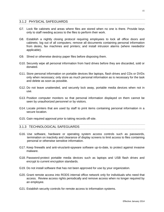### 3.1.2 PHYSICAL SAFEGUARDS

- G7. Lock file cabinets and areas where files are stored when no one is there. Provide keys only to staff needing access to the files to perform their work.
- G8. Establish a nightly closing protocol requiring employees to lock all office doors and cabinets; log out of all computers; remove all documents containing personal information from desks, fax machines and printers; and install intrusion alarms (where needed/or applicable).
- G9. Shred or otherwise destroy paper files before disposing them.
- G10. Securely wipe all personal information from hard drives before they are discarded, sold or donated.
- G11. Store personal information on portable devices like laptops, flash drives and CDs or DVDs only when necessary; only store as much personal information as is necessary for the task and delete as soon as possible.
- G12. Do not leave unattended, and securely lock away, portable media devices when not in use.
- G13. Position computer monitors so that personal information displayed on them cannot be seen by unauthorized personnel or by visitors.
- G14. Locate printers that are used by staff to print items containing personal information in a secure location.
- G15. Gain required approval prior to taking records off-site.

## 3.1.3 TECHNOLOGICAL SAFEGUARDS

- G16. Use software, hardware or operating system access controls such as passwords, termination on inactivity and clearance of display screens to limit access to files containing personal or otherwise sensitive information.
- G17. Keep firewalls and anti‐virus/anti-spyware software up‐to‐date, to protect against invasive malware.
- G18. Password-protect portable media devices such as laptops and USB flash drives and encrypt to current encryption standards.
- G19. Do not install software that has not been approved for use by your organization.
- G20. Grant remote access into RODS internal office network only for individuals who need that access. Review access rights periodically and remove access when no longer required by an employee.
- G21. Establish security controls for remote access to information systems.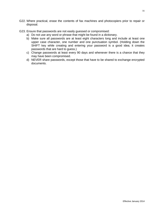- G22. Where practical, erase the contents of fax machines and photocopiers prior to repair or disposal.
- G23. Ensure that passwords are not easily guessed or compromised:
	- a) Do not use any word or phrase that might be found in a dictionary.
	- b) Make sure all passwords are at least eight characters long and include at least one upper case character, one number and one punctuation symbol. (Holding down the SHIFT key while creating and entering your password is a good idea; it creates passwords that are hard to guess.)
	- c) Change passwords at least every 90 days and whenever there is a chance that they may have been compromised.
	- d) NEVER share passwords, except those that have to be shared to exchange encrypted documents.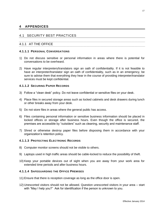## **4 APPENDICES**

## <span id="page-16-0"></span>4.1 SECURITY BEST PRACTICES

## 4.1.1 AT THE OFFICE

### **4.1.1.1 PERSONAL CONVERSATIONS**

- 1) Do not discuss sensitive or personal information in areas where there is potential for conversations to be overheard.
- 2) Have regular interpreters/translators sign an oath of confidentiality. If it is not feasible to have an interpreter/translator sign an oath of confidentiality, such as in an emergency, be sure to advise them that everything they hear in the course of providing interpreter/translator services must be kept confidential.

### **4.1.1.2 SECURING PAPER RECORDS**

- 3) Follow a "clean desk" policy. Do not leave confidential or sensitive files on your desk.
- 4) Place files in secured storage areas such as locked cabinets and desk drawers during lunch or other breaks away from your desk.
- 5) Do not store files in areas where the general public has access.
- 6) Files containing personal information or sensitive business information should be placed in locked offices or storage after business hours. Even though the office is secured, the premises are accessible by "outsiders" such as cleaning, security and maintenance staff.
- 7) Shred or otherwise destroy paper files before disposing them in accordance with your organization's retention policy.

#### **4.1.1.3 PROTECTING ELECTRONIC RECORDS**

- 8) Computer monitor screens should not be visible to others.
- 9) Laptops used in high traffic areas should be cable-locked to reduce the possibility of theft.
- 10) Keep your portable devices out of sight when you are away from your work area for extended time periods and after business hours.

### **4.1.1.4 SAFEGUARDING THE OFFICE PREMISES**

- 11) Ensure that there is reception coverage as long as the office door is open.
- 12) Unescorted visitors should not be allowed. Question unescorted visitors in your area start with "May I help you?" Ask for identification if the person is unknown to you.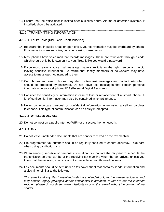13) Ensure that the office door is locked after business hours. Alarms or detection systems, if installed, should be activated.

# 4.1.2 TRANSMITTING INFORMATION

### **4.1.2.1 TELEPHONE (CELL AND DESK PHONES)**

- 14) Be aware that in public areas or open office, your conversation may be overheard by others. If conversations are sensitive, consider a using closed room.
- 15) Most phones have voice mail that records messages. These are retrievable through a code which should only be known only to you. Treat it like you would a password.
- 16) If you must leave a voice mail message, make sure it is for the right person and avoid leaving sensitive information. Be aware that family members or co-workers may have access to messages not intended to them.
- 17) Cell phones and smart phones may also contain text messages and contact lists which should be protected by password. Do not leave text messages that contain personal information on your cell phone/PDA (Personal Digital Assistant).
- 18) Consider the sensitivity of information in case of loss or replacement of a 'smart' phone. A lot of confidential information may also be contained in 'smart' phones.
- 19) Never communicate personal or confidential information when using a cell or cordless telephone. This type of communication can be easily intercepted.

### **4.1.2.2 WIRELESS DEVICES**

20) Do not connect on a public internet (WIFI) or unsecured home network.

#### **4.1.2.3 FAX**

- 21) Do not leave unattended documents that are sent or received on the fax machine.
- 22) Pre-programmed fax numbers should be regularly checked to ensure accuracy. Take care when using distribution lists.
- 23) When sending sensitive or personal information, first contact the recipient to schedule the transmission so they can be at the receiving fax machine when the fax arrives, unless you know that the receiving machine is not accessible to unauthorized persons.
- 24) Fax documents should be sent under a fax cover sheet that contains sender information and a disclaimer similar to the following:

*This e-mail and any files transmitted with it are intended only for the named recipients and may contain legally privileged and/or confidential information. If you are not the intended recipient please do not disseminate, distribute or copy this e-mail without the consent of the sender.*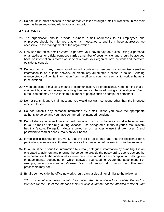25) Do not use internet services to send or receive faxes through e-mail or websites unless their use has been authorized within your organization.

### **4.1.2.4 E-MAIL**

- 26) The organization should provide business e-mail addresses to all employees and employees should be informed that e-mail messages to and from those addresses are accessible to the management of the organization.
- 27) Only use the office email system to perform your day-to-day job duties. Using a personal email address for official purposes carries a number of security risks and should be avoided because information is stored on servers outside your organization's network and therefore outside its control.
- 28) Do not forward any unencrypted e-mail containing personal or otherwise sensitive information to an outside network, or create any automated process to do so. Sending unencrypted confidential information from the office to your home e-mail to work at home is to be avoided.
- 29) When choosing e-mail as a means of communication, be professional. Keep in mind that email sent by you can be kept for a long time and can be used during an investigation. Your e-mail content may be available to a number of people such as computer personnel.
- 30) Do not transmit any e-mail message you would not want someone other than the intended recipient to see.
- 31) Do not transmit any personal information by e-mail unless you have the appropriate authority to do so, and you have confirmed the intended recipient.
- 32) Do not share your e-mail password with anyone. If you must have a co-worker have access to your e-mail or files (e.g. during vacation) use delegated authority if your e-mail system has this feature. Delegation allows a co-worker or manager to use their own user ID and password to read or send e-mails on your behalf.
- 33) If you use a distribution list, verify that the list is up-to-date and that the recipients for a particular message are authorized to receive the message before sending it to the entire list.
- 34) If you must send sensitive information by e-mail, safeguard information by e-mailing it in an encrypted attachment and phoning the person to provide the password to use to decrypt the attachment. (Note that additional software may be required for the encryption and decryption of attachments, depending on which software you used to create the attachment. For example, recent versions of Microsoft Word will encrypt documents, but other word processors may not.)
- 35) Emails sent outside the office network should carry a disclaimer similar to the following:

*"This communication may contain information that is privileged or confidential and is intended for the use of the intended recipient only. If you are not the intended recipient, you*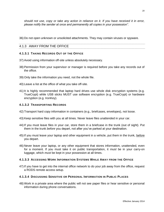*should not use, copy or take any action in reliance on it. If you have received it in error, please notify the sender at once and permanently all copies in your possession".*

36) Do not open unknown or unsolicited attachments. They may contain viruses or spyware.

## 4.1.3 AWAY FROM THE OFFICE

### **4.1.3.1 TAKING RECORDS OUT OF THE OFFICE**

- 37) Avoid using information off-site unless absolutely necessary.
- 38) Permission from your supervisor or manager is required before you take any records out of the office.
- 39) Only take the information you need, not the whole file.
- 40) Leave a list at the office of what you take off-site.
- 41) It is highly recommended that laptop hard drives use whole disk encryption systems (e.g. TrueCrypt) while USB sticks MUST use software encryption (e.g. TrueCrypt) or hardware encryption (e.g. IronKey).

#### **4.1.3.2 TRANSPORTING RECORDS**

- 42) Transport hard copy information in containers (e.g., briefcases, envelopes), not loose.
- 43) Keep sensitive files with you at all times. Never leave files unattended in your car.
- 44) If you must leave files in your car, store them in a briefcase in the trunk (out of sight). Put them in the trunk *before* you depart, not after you've parked at your destination.
- 45) If you must leave your laptop and other equipment in a vehicle, put them in the trunk, before you depart.
- 46) Never leave your laptop, or any other equipment that stores information, unattended, even for a moment. If you must take it on public transportation, it *must* be in your carry-on luggage, which *must* be kept in your possession at all times.

#### **4.1.3.3 ACCESSING WORK INFORMATION SYSTEMS WHILE AWAY FROM THE OFFICE**

47) If you have to get into the internal office network to do your job away from the office, request a RODS remote access setup.

#### **4.1.3.4 DISCUSSING SENSITIVE OR PERSONAL INFORMATION IN PUBLIC PLACES**

48) Work in a private area where the public will not see paper files or hear sensitive or personal information during phone conversations.